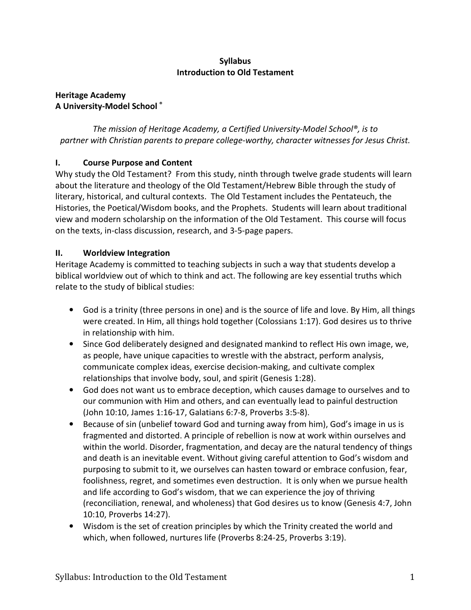## Syllabus Introduction to Old Testament

## Heritage Academy A University-Model School ®

The mission of Heritage Academy, a Certified University-Model School®, is to partner with Christian parents to prepare college-worthy, character witnesses for Jesus Christ.

# I. Course Purpose and Content

Why study the Old Testament? From this study, ninth through twelve grade students will learn about the literature and theology of the Old Testament/Hebrew Bible through the study of literary, historical, and cultural contexts. The Old Testament includes the Pentateuch, the Histories, the Poetical/Wisdom books, and the Prophets. Students will learn about traditional view and modern scholarship on the information of the Old Testament. This course will focus on the texts, in-class discussion, research, and 3-5-page papers.

# II. Worldview Integration

Heritage Academy is committed to teaching subjects in such a way that students develop a biblical worldview out of which to think and act. The following are key essential truths which relate to the study of biblical studies:

- God is a trinity (three persons in one) and is the source of life and love. By Him, all things were created. In Him, all things hold together (Colossians 1:17). God desires us to thrive in relationship with him.
- Since God deliberately designed and designated mankind to reflect His own image, we, as people, have unique capacities to wrestle with the abstract, perform analysis, communicate complex ideas, exercise decision-making, and cultivate complex relationships that involve body, soul, and spirit (Genesis 1:28).
- God does not want us to embrace deception, which causes damage to ourselves and to our communion with Him and others, and can eventually lead to painful destruction (John 10:10, James 1:16-17, Galatians 6:7-8, Proverbs 3:5-8).
- Because of sin (unbelief toward God and turning away from him), God's image in us is fragmented and distorted. A principle of rebellion is now at work within ourselves and within the world. Disorder, fragmentation, and decay are the natural tendency of things and death is an inevitable event. Without giving careful attention to God's wisdom and purposing to submit to it, we ourselves can hasten toward or embrace confusion, fear, foolishness, regret, and sometimes even destruction. It is only when we pursue health and life according to God's wisdom, that we can experience the joy of thriving (reconciliation, renewal, and wholeness) that God desires us to know (Genesis 4:7, John 10:10, Proverbs 14:27).
- Wisdom is the set of creation principles by which the Trinity created the world and which, when followed, nurtures life (Proverbs 8:24-25, Proverbs 3:19).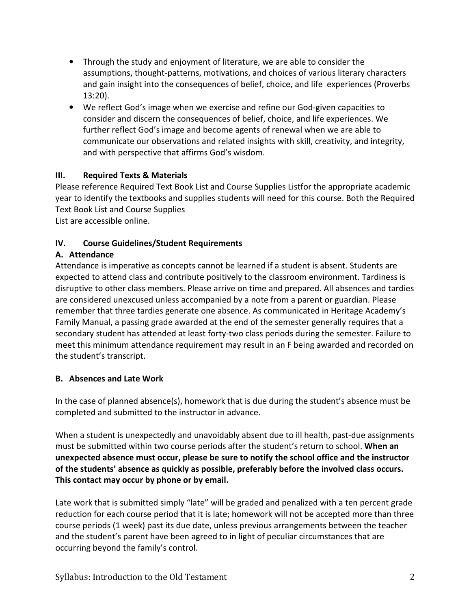- Through the study and enjoyment of literature, we are able to consider the assumptions, thought-patterns, motivations, and choices of various literary characters and gain insight into the consequences of belief, choice, and life experiences (Proverbs 13:20).
- We reflect God's image when we exercise and refine our God-given capacities to consider and discern the consequences of belief, choice, and life experiences. We further reflect God's image and become agents of renewal when we are able to communicate our observations and related insights with skill, creativity, and integrity, and with perspective that affirms God's wisdom.

## III. Required Texts & Materials

Please reference Required Text Book List and Course Supplies Listfor the appropriate academic year to identify the textbooks and supplies students will need for this course. Both the Required Text Book List and Course Supplies

List are accessible online.

## IV. Course Guidelines/Student Requirements

## A. Attendance

Attendance is imperative as concepts cannot be learned if a student is absent. Students are expected to attend class and contribute positively to the classroom environment. Tardiness is disruptive to other class members. Please arrive on time and prepared. All absences and tardies are considered unexcused unless accompanied by a note from a parent or guardian. Please remember that three tardies generate one absence. As communicated in Heritage Academy's Family Manual, a passing grade awarded at the end of the semester generally requires that a secondary student has attended at least forty-two class periods during the semester. Failure to meet this minimum attendance requirement may result in an F being awarded and recorded on the student's transcript.

## B. Absences and Late Work

In the case of planned absence(s), homework that is due during the student's absence must be completed and submitted to the instructor in advance.

When a student is unexpectedly and unavoidably absent due to ill health, past-due assignments must be submitted within two course periods after the student's return to school. When an unexpected absence must occur, please be sure to notify the school office and the instructor of the students' absence as quickly as possible, preferably before the involved class occurs. This contact may occur by phone or by email.

Late work that is submitted simply "late" will be graded and penalized with a ten percent grade reduction for each course period that it is late; homework will not be accepted more than three course periods (1 week) past its due date, unless previous arrangements between the teacher and the student's parent have been agreed to in light of peculiar circumstances that are occurring beyond the family's control.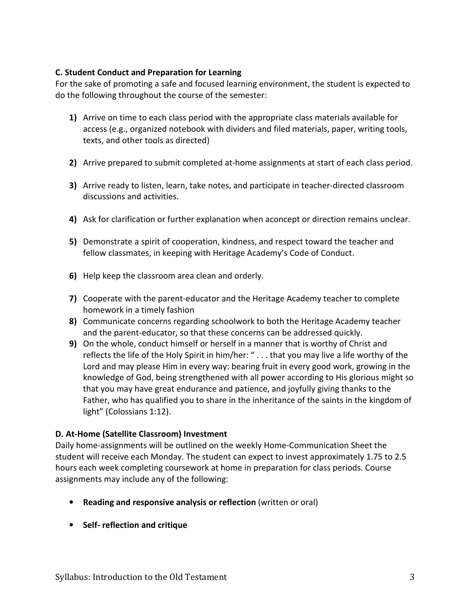### C. Student Conduct and Preparation for Learning

For the sake of promoting a safe and focused learning environment, the student is expected to do the following throughout the course of the semester:

- 1) Arrive on time to each class period with the appropriate class materials available for access (e.g., organized notebook with dividers and filed materials, paper, writing tools, texts, and other tools as directed)
- 2) Arrive prepared to submit completed at-home assignments at start of each class period.
- 3) Arrive ready to listen, learn, take notes, and participate in teacher-directed classroom discussions and activities.
- 4) Ask for clarification or further explanation when aconcept or direction remains unclear.
- 5) Demonstrate a spirit of cooperation, kindness, and respect toward the teacher and fellow classmates, in keeping with Heritage Academy's Code of Conduct.
- 6) Help keep the classroom area clean and orderly.
- 7) Cooperate with the parent-educator and the Heritage Academy teacher to complete homework in a timely fashion
- 8) Communicate concerns regarding schoolwork to both the Heritage Academy teacher and the parent-educator, so that these concerns can be addressed quickly.
- 9) On the whole, conduct himself or herself in a manner that is worthy of Christ and reflects the life of the Holy Spirit in him/her: " . . . that you may live a life worthy of the Lord and may please Him in every way: bearing fruit in every good work, growing in the knowledge of God, being strengthened with all power according to His glorious might so that you may have great endurance and patience, and joyfully giving thanks to the Father, who has qualified you to share in the inheritance of the saints in the kingdom of light" (Colossians 1:12).

## D. At-Home (Satellite Classroom) Investment

Daily home-assignments will be outlined on the weekly Home-Communication Sheet the student will receive each Monday. The student can expect to invest approximately 1.75 to 2.5 hours each week completing coursework at home in preparation for class periods. Course assignments may include any of the following:

- Reading and responsive analysis or reflection (written or oral)
- Self- reflection and critique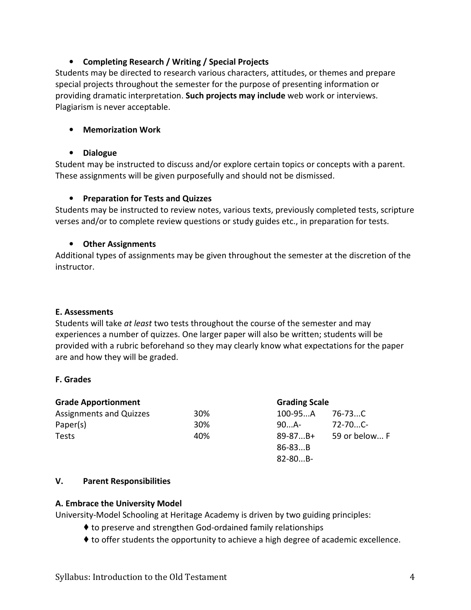## • Completing Research / Writing / Special Projects

Students may be directed to research various characters, attitudes, or themes and prepare special projects throughout the semester for the purpose of presenting information or providing dramatic interpretation. Such projects may include web work or interviews. Plagiarism is never acceptable.

## • Memorization Work

#### • Dialogue

Student may be instructed to discuss and/or explore certain topics or concepts with a parent. These assignments will be given purposefully and should not be dismissed.

## • Preparation for Tests and Quizzes

Students may be instructed to review notes, various texts, previously completed tests, scripture verses and/or to complete review questions or study guides etc., in preparation for tests.

#### • Other Assignments

Additional types of assignments may be given throughout the semester at the discretion of the instructor.

## E. Assessments

Students will take at least two tests throughout the course of the semester and may experiences a number of quizzes. One larger paper will also be written; students will be provided with a rubric beforehand so they may clearly know what expectations for the paper are and how they will be graded.

#### F. Grades

| <b>Grade Apportionment</b>     |     | <b>Grading Scale</b> |               |
|--------------------------------|-----|----------------------|---------------|
| <b>Assignments and Quizzes</b> | 30% | 100-95A              | 76-73C        |
| Paper(s)                       | 30% | $90$ A-              | 72-70C-       |
| Tests                          | 40% | $89 - 87B +$         | 59 or below F |
|                                |     | $86 - 83B$           |               |
|                                |     | 82-80B-              |               |

#### V. Parent Responsibilities

## A. Embrace the University Model

University-Model Schooling at Heritage Academy is driven by two guiding principles:

- ♦ to preserve and strengthen God-ordained family relationships
- ♦ to offer students the opportunity to achieve a high degree of academic excellence.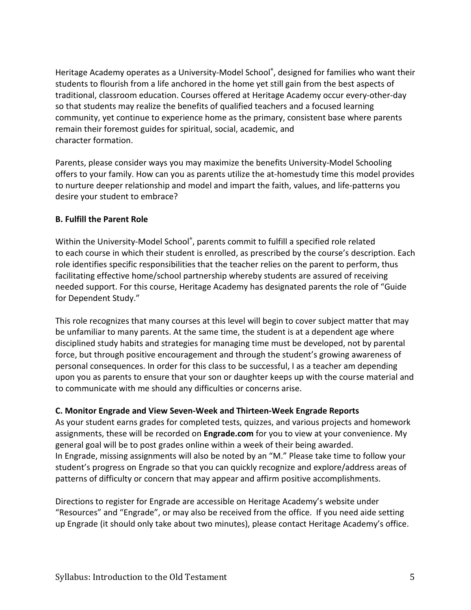Heritage Academy operates as a University-Model School®, designed for families who want their students to flourish from a life anchored in the home yet still gain from the best aspects of traditional, classroom education. Courses offered at Heritage Academy occur every-other-day so that students may realize the benefits of qualified teachers and a focused learning community, yet continue to experience home as the primary, consistent base where parents remain their foremost guides for spiritual, social, academic, and character formation.

Parents, please consider ways you may maximize the benefits University-Model Schooling offers to your family. How can you as parents utilize the at-homestudy time this model provides to nurture deeper relationship and model and impart the faith, values, and life-patterns you desire your student to embrace?

## B. Fulfill the Parent Role

Within the University-Model School®, parents commit to fulfill a specified role related to each course in which their student is enrolled, as prescribed by the course's description. Each role identifies specific responsibilities that the teacher relies on the parent to perform, thus facilitating effective home/school partnership whereby students are assured of receiving needed support. For this course, Heritage Academy has designated parents the role of "Guide for Dependent Study."

This role recognizes that many courses at this level will begin to cover subject matter that may be unfamiliar to many parents. At the same time, the student is at a dependent age where disciplined study habits and strategies for managing time must be developed, not by parental force, but through positive encouragement and through the student's growing awareness of personal consequences. In order for this class to be successful, I as a teacher am depending upon you as parents to ensure that your son or daughter keeps up with the course material and to communicate with me should any difficulties or concerns arise.

#### C. Monitor Engrade and View Seven-Week and Thirteen-Week Engrade Reports

As your student earns grades for completed tests, quizzes, and various projects and homework assignments, these will be recorded on Engrade.com for you to view at your convenience. My general goal will be to post grades online within a week of their being awarded. In Engrade, missing assignments will also be noted by an "M." Please take time to follow your student's progress on Engrade so that you can quickly recognize and explore/address areas of patterns of difficulty or concern that may appear and affirm positive accomplishments.

Directions to register for Engrade are accessible on Heritage Academy's website under "Resources" and "Engrade", or may also be received from the office. If you need aide setting up Engrade (it should only take about two minutes), please contact Heritage Academy's office.